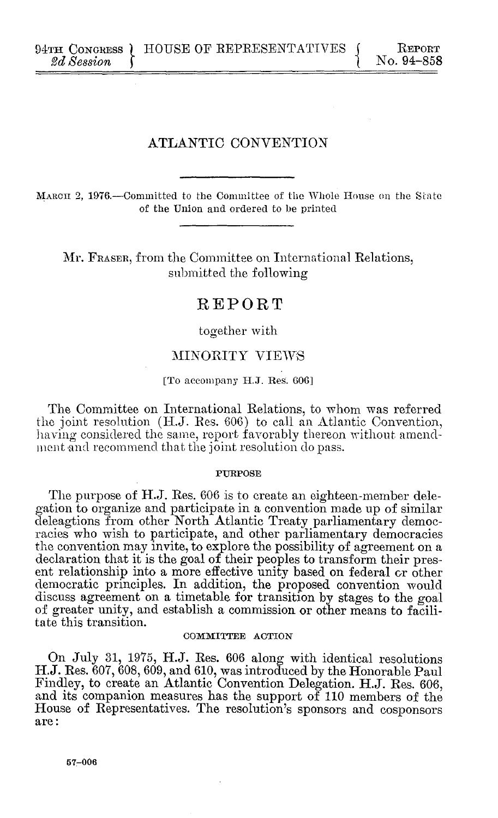94TH CONGRESS **a** HOUSE OF REPRESENTATIVES **b** Report  $2d$  Session  $2d$   $Session$ 

# ATLANTIC **CONVENTION**

**MARCH** 2, 1976.-Committed to the Committee of the Whole House on the State of the Union and ordered to be printed

Mr. FRASER, from the Committee on International Relations, submitted the following

# REPORT

together with

## MINORITY VIEWS

## [To accompany **H.J.** Res. **606]**

The Committee on International Relations, to whom was referred the joint resolution **(H.J.** Res. **606)** to call an Atlantic Convention, having considered the same, report favorably thereon without amendment and recommend that the joint resolution do pass.

#### PURPOSE

The purpose of **H.J.** Res. **606** is to create an eighteen-member delegation to organize and participate in a convention made up of similar deleagtions from other North Atlantic Treaty parliamentary democracies who wish to participate, and other parliamentary democracies the convention may invite, to explore the possibility of agreement on a declaration that it is the goal of their peoples to transform their present relationship into a more effective unity based on federal or other democratic principles. In addition, the proposed convention would discuss agreement on a timetable for transition **by** stages to the goal of greater unity, and establish a commission or other means to facilitate this transition.

#### COMMITTEE ACTION

On July **31, 1975, H.J.** Res. **606** along with identical resolutions **H.J.** Res. **607, 608, 609,** and **610,** was introduced **by** the Honorable Paul **Findley,** to create an Atlantic Convention Delegation. **H.J.** Res. **606, and** its companion measures has the support of **110** members of the House of Representatives. The resolution's sponsors and cosponsors are: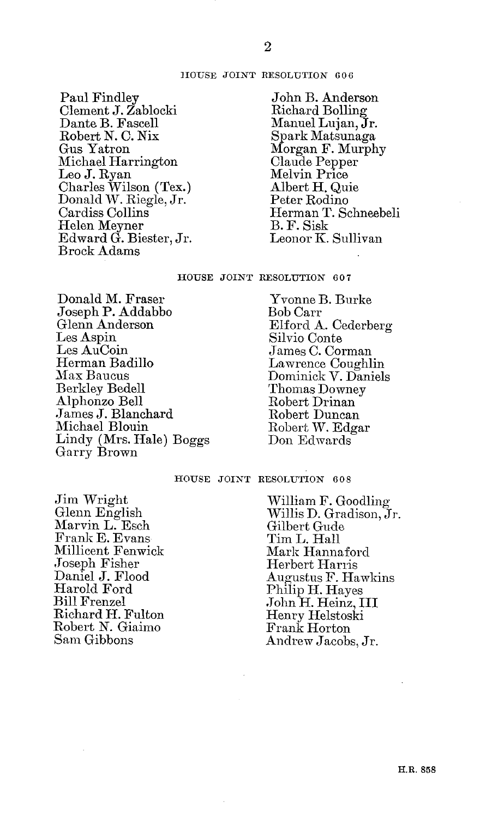#### HOUSE JOINT RESOLUTION **606**

Paul Findley Clement **J.** Zablocki Dante B. Fascell Robert **N. C.** Nix Gus Yatron Michael Harrington Leo **J.** Ryan Charles Wilson (Tex.) Donald W. Riegle, Jr. Cardiss Collins Helen Meyner Edward **G.** Biester, Jr. Brock Adams

John B. Anderson Richard Bolling Manuel Lujan, Jr. Spark Matsunaga Morgan F. Murphy Claude Pepper Melvin Price Albert H. Quie Peter Rodino Herman T. Schneebeli B. F. Sisk Leonor K. Sullivan

#### **HOUSE JOINT** RESOLUTION **607**

Donald M. Fraser Joseph P. Addabbo Glenn Anderson Les Aspin Les AuCoin Herman Badillo Max Baucus Berkley Bedell Alphonzo Bell James **J.** Blanchard Michael Blouin Lindy (Mrs. Hale) Boggs Garry Brown

Yvonne B. Burke Bob Carr Elford **A.** Cederberg Silvio Conte James **C.** Corman Lawrence Coughlin Dominick V. Daniels Thomas Downey Robert Drinan Robert Duncan Robert W. Edgar Don Edwards

# **HOUSE JOINT** RESOLUTION **608**

Jim Wright Glenn English Marvin L. Esch Frank **E.** Evans Millicent Fenwick Joseph Fisher Daniel **J.** Flood Harold Ford Bill Frenzel Richard H. Fulton Robert **N.** Giaimo Sam Gibbons

William F. Goodling Willis **D.** Gradison, **Jr.** Gilbert Gude Tim L. Hall Mark Hannaford Herbert Harris Augustus F. Hawkins Philip H. Hayes John H. Heinz, III Henry Helstoski Frank Horton Andrew Jacobs, Jr.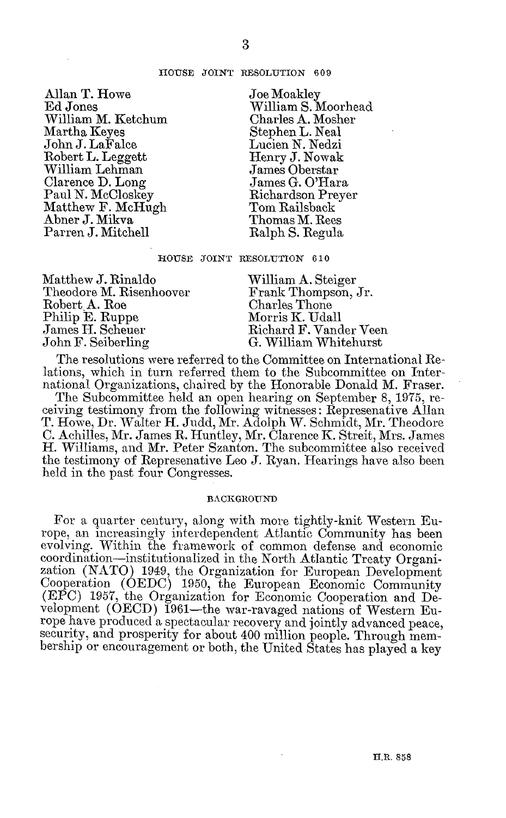#### **HOUSE JOINT RESOLUTION 609**

Allan T. Howe **Ed** Jones William M. Ketchum Martha Keyes John **J.** LaFalce Robert L. Leggett William Lehman Clarence **D.** Long Paul **N.** McCloskey Matthew F. McHugh Abner **J.** Mikva Parren **J.** Mitchell

Joe Moakley William **S.** Moorhead Charles **A.** Mosher Stephen L. Neal Lucien **N.** Nedzi Henry **J.** Nowak James Oberstar James **G.** O'Hara Richardson Preyer Tom Railsback Thomas M. Rees Ralph **S.** Regula

**HOUSE JOINT RESOLUTION 610**

Matthew **J.** Rinaldo Theodore M. Risenhoover Robert A. Roe Philip **E.** Ruppe James H. Scheuer John F. Seiberling

William **A.** Steiger Frank Thompson, Jr. Charles Thone Morris K. Udall Richard F. Vander Veen **G.** William Whitehurst

The resolutions were referred to the Committee on International Relations, which in turn referred them to the Subcommittee on International Organizations, chaired **by** the Honorable Donald M. Fraser.

The Subcommittee held an open hearing on September **8, 1975,** receiving testimony from the following witnesses: Represenative Allan T. Howe, Dr. Walter H. Judd, Mr. Adolph W. Schmidt, Mr. Theodore **C.** Achilles, Mr. James R. Huntley, Mr. Clarence K. Streit, Mrs. James H. Williams, and Mr. Peter Szanton. The subcommittee also received the testimony of Represenative Leo **J.** Ryan. Hearings have also been held in the past four Congresses.

#### **BACKGROUND**

For a quarter century, along with more tightly-knit Western Europe, an increasingly interdependent Atlantic Community has been evolving. Within the framework of common defense and economic coordination-institutionalized in the North Atlantic Treaty Organization **(NATO)** 1949, the Organization for European Development Cooperation **(OEDC) 1950,** the European Economic Community **(EPC) 1957,** the Organization for Economic Cooperation and Development (OECD) 1961-the war-ravaged nations of Western Europe have produced a spectacular recovery and jointly advanced peace, security, and prosperity for about 400 million people. Through membership or encouragement or both, the United States has played a key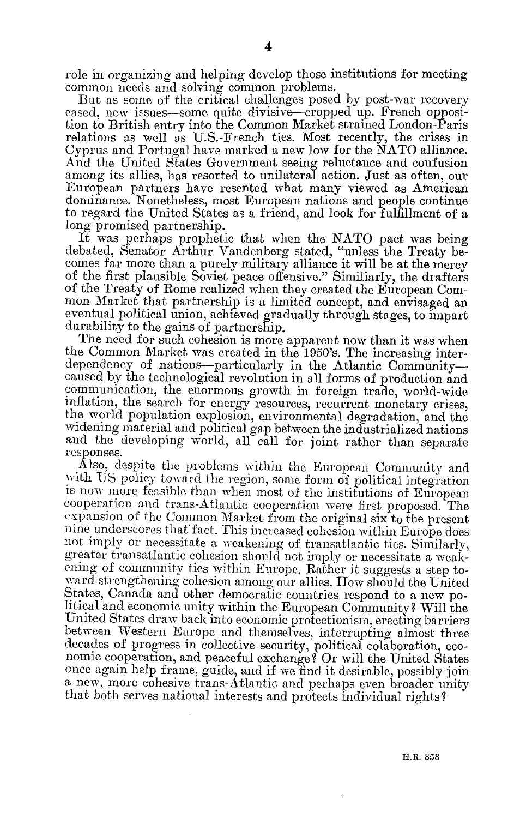role in *organizing* and helping develop those institutions for meeting common needs and solving common problems.

But as some of the critical challenges posed **by** post-war recovery eased, new issues-some quite divisive-cropped up. French opposition to British entry into the Common Market strained London-Paris relations as well as U.S.-French ties. Most recently, the crises in Cyprus and Portugal have marked a new low for the **NATO** alliance. And the United States Government seeing reluctance and confusion among its allies, has resorted to unilateral action. Just as often, our European partners have resented what many viewed as American dominance. Nonetheless, most European nations and people continue to regard the United States as a friend, and look for fulfillment of **a** long-promised partnership.

It was perhaps prophetic that when the **NATO** pact was being debated, Senator Arthur Vandenberg stated, "unless the Treaty becomes **far** more than a purely military alliance it will be at the mercy of the first plausible Soviet peace offensive." Similiarly, the drafters of the Treaty of Rome realized when they created the European Common Market that partnership is a limited concept, and envisaged an eventual political union, achieved gradually through stages, to impart durability to the gains of partnership.

The need for such cohesion is more apparent now than it was when the Common Market was created in the 1950's. The increasing interdependency of nations—particularly in the Atlantic Community caused **by** the technological revolution in all forms of production and communication, the enormous growth in foreign trade, world-wide inflation, the search for energy resources, recurrent monetary crises, the world population explosion, environmental degradation, and the widening material and political **gap** between the industrialized nations and the developing world, all call for joint rather than separate responses.

Also, despite the problems within the European Community and with **US** policy toward the region, some form of political integration is now more feasible than when most of the institutions of European cooperation and trans-Atlantic cooperation were first proposed. The expansion of the Common Market from the original six to the present nine underscores that fact. This increased cohesion within Europe does not imply or necessitate a weakening of transatlantic ties. Similarly, greater transatlantic cohesion should not imply or necessitate a weakening of community ties within Europe. Rather it suggests a step toward strengthening cohesion among our allies. How should the United States, Canada and other democratic countries respond to a new political and economic unity within the European Community ? Will the United States draw back into economic protectionism, erecting barriers between Western Europe and themselves, interrupting almost three decades of progress in collective security, political colaboration, economic cooperation, and peaceful exchange? Or will the United States once again help frame, guide, and if we find it desirable, possibly join a new, more cohesive trans-Atlantic and perhaps even broader unity that both serves national interests and protects individual rights?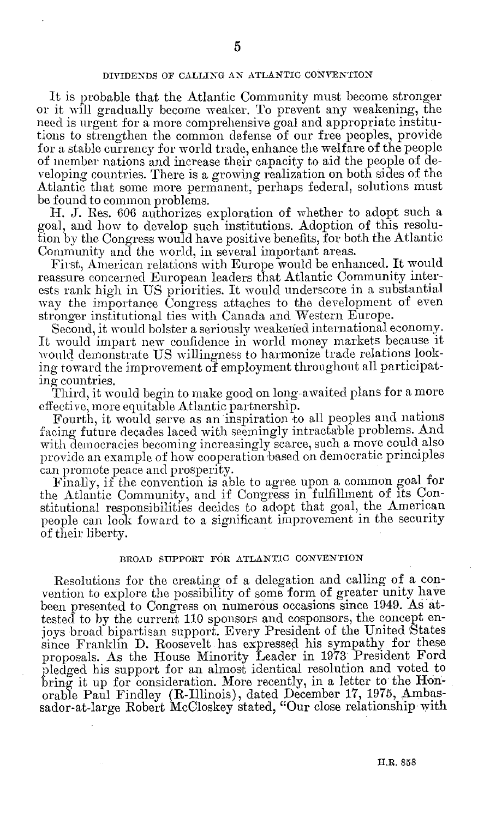## **DIVIDENDS OF CALLING AN ATLANTIC CONVENTION**

It is probable that the Atlantic Community must become stronger or it will gradually become weaker. To prevent any weakening, the need is urgent for a more comprehensive goal and appropriate institutions to strengthen the **common** defense of **our free peoples, provide for** a stable currency for world trade, enhance the welfare of the people of member nations and increase their capacity to aid the people of developing countries. There is a growing realization on both sides of the Atlantic that some more permanent, perhaps federal, solutions must be found to common problems.

II. **J.** Res. **606** authorizes exploration of whether to adopt such a goal, and how to develop such institutions. Adoption of this resolution **by** the Congress would have positive benefits, for both the Atlantic Community and the world, in several important areas.

First, **Amnerican** relations with Europe would be enhanced. It would reassure concerned European leaders that Atlantic Community interests rank high in **US** priorities. It would underscore in a substantial way the importance Congress attaches to the development of even stronger institutional ties with Canada and Western Europe.

Second, it would bolster a seriously weakened international economy. It would impart new confidence in world money markets because it would demonstrate **US** willingness to harmonize trade relations looking toward the improvement of employment throughout all participating countries.

Third, it would begin to make good on long-awaited plans for a more effective, more equitable Atlantic partnership.

Fourth, it would serve as an inspiration to all peoples and nations facing future decades laced with seemingly intractable problems. And with democracies becoming increasingly scarce, such a move could also provide an example of how cooperation based on democratic principles can promote peace and prosperity.

Finally, if the convention is able to agree upon a common goal for the Atlantic Community, and if Congress in fulfillment of its Constitutional responsibilities decides to adopt that goal, the American people can look foward to a significant improvement in the security of their liberty.

## **BROAD SUPPORT FOR ATLANTIC CONVENTION**

Resolutions **for** the creating of a delegation and calling of a convention to explore the possibility of some form of greater unity have been presented to Congress on numerous occasions since 1949. As attested to **by** the current **110** sponsors and cosponsors, the concept enjoys broad bipartisan support. Every President of the United States since Franklin **D.** Roosevelt has expressed his sympathy for these proposals. As the House Minority Leader in **1973** President Ford pledged his support for an almost identical resolution and voted to bring it up for consideration. More recently, in a letter to the Honorable Paul Findley (R-Illinois), dated December **17, 1975,** Ambassador-at-large Robert McCloskey stated, "Our close relationship.with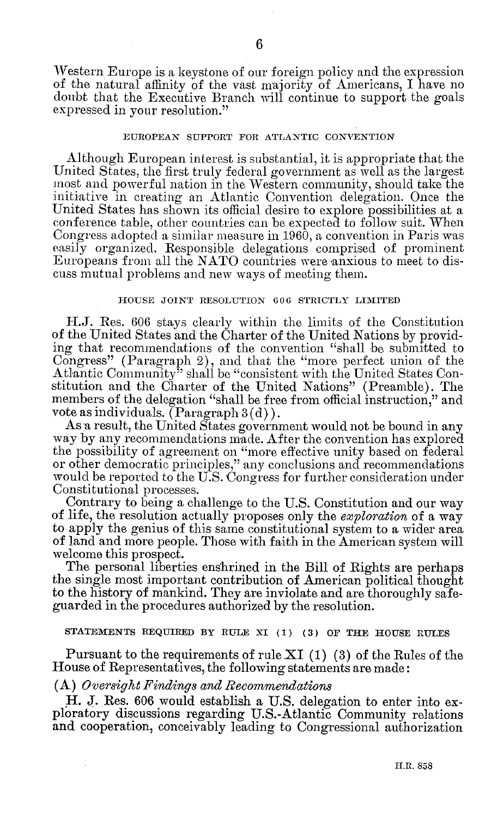Western Europe is a keystone of our foreign policy and the expression of the natural affinity of the vast majority of Americans, I have no doubt that the Executive Branch will continue to support the goals expressed in your resolution."

#### **EUROPEAN** SUPPORT FOR ATLANTIC **CONVENTION**

Although European interest is substantial, it is appropriate that the United States, the first truly federal government as well as the largest most and powerful nation in the Western community, should take the initiative in creating an Atlantic Convention delegation. Once the United States has shown its official desire to explore possibilities at a conference table, other countries can be expected to follow suit. When Congress adopted a similar measure in 1960, a convention in Paris was easily organized. Responsible delegations comprised of prominent Europeans from all the NATO countries were anxious to meet to discuss mutual problems and new ways of meeting them.

## **HOUSE JOINT** RESOLUTION **606** STRICTLY LIMITED

H.J. Res. 606 stays clearly within the limits of the Constitution of the United States and the Charter of the United Nations **by** providing that recommendations of the convention "shall be submitted to Congress" (Paragraph 2), and that the "more perfect union of the Atlantic Community" shall be "consistent with the United States Constitution and the Charter of the United Nations" (Preamble). The members of the delegation "shall be free from official instruction," and vote as individuals. (Paragraph 3(d)).

As a result, the United States government would not be bound in any way by any recommendations made. After the convention has explored the possibility of agreement on "more effective unity based on federal or other democratic principles," any conclusions and recommendations would be reported to the U.S. Congress for further consideration under Constitutional processes.

Contrary to being a challenge to the U.S. Constitution and our way of life, the resolution actually proposes only the *exploration* of a way to apply the genius of this same constitutional system to a wider area of land and more people. Those with faith in the American system will welcome this prospect.

The personal liberties enshrined in the Bill of Rights are perhaps the single most important contribution of American political thought to the history of mankind. They are inviolate and are thoroughly safeguarded in the procedures autlorized by the resolution.

## **STATEMENTS** REQUIRED BY RULE XI **(1) (3) OF THE HOUSE** RULES

Pursuant to the requirements of rule XI (1) (3) of the Rules of the House of Representatives, the following statements are made:

## **(A)** *Oversight Findings and Recommendations*

H. J. Res. 606 would establish a U.S. delegation to enter into exploratory discussions regarding U.S.-Atlantic Community relations and cooperation, conceivably leading to Congressional authorization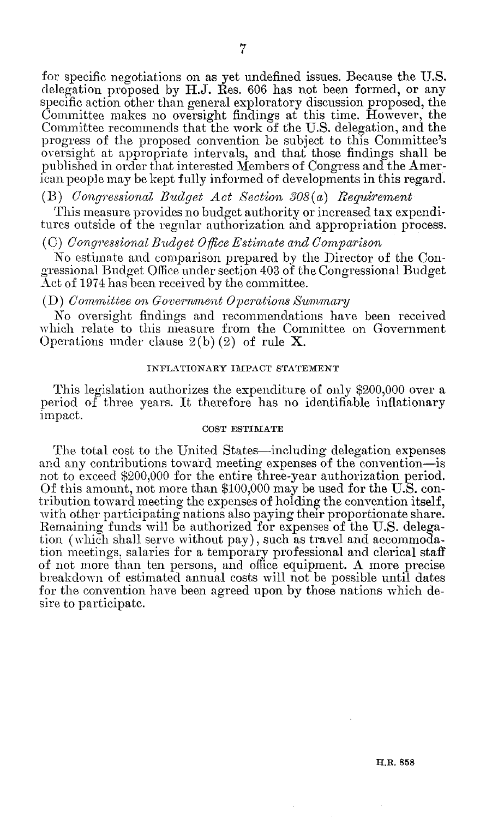for specific negotiations on as yet undefined issues. Because the **U.S.** delegation proposed **by H.J.** Res. **606** has not been formed, or any specific action other than general exploratory discussion proposed, the Committee makes no oversight findings at this time. However, the Committee recommends that the work of the **U.S.** delegation, and the progress of the proposed convention be subject to this Committee's oversight at appropriate intervals, and that those findings shall be published in order that interested Members of Congress and the American people may be kept fully informed of developments in this regard.

# *(B) Congressional Budget Act Section 308(a) Requirement*

This measure provides no budget authority or increased tax expenditures outside of the regular authorization **and** appropriation process.

# *(C) Congressional Budget Office Estimnate and Comparison*

No estimate and comparison prepared **by** the Director of the Congressional Budget Office under section 403 of the Congressional Budget Act of 1974 has been received **by** the committee.

#### *(D) Committee on Government Operations Summary*

No oversight findings and recommendations have been received which relate to this measure from the Committee on Government Operations under clause **2(b)** (2) of rule X.

## **INFLATIONARY IMPACT STATEMENT**

This legislation authorizes the expenditure of only \$200,000 over a period of three years. It therefore has no identifiable inflationary impact.

#### **COST ESTIMATE**

The total cost to the United States—including delegation expenses and any contributions toward meeting expenses of the convention-is not to exceed \$200,000 for the entire three-year authorization period. **Of** this amount, not more than **\$100,000** may be used for the **U.S.** contribution toward meeting the expenses of holding the convention itself, with other participating nations also paying their proportionate share. Remaining funds will be authorized for expenses of the **U.S.** delegation (which shall serve without pay), such as travel and accommodation meetings, salaries for a temporary professional and clerical staff of not more than ten persons, and office equipment. **A** more precise breakdown of estimated annual costs will not be possible until dates for the convention have been agreed upon **by** those nations which desire to participate.